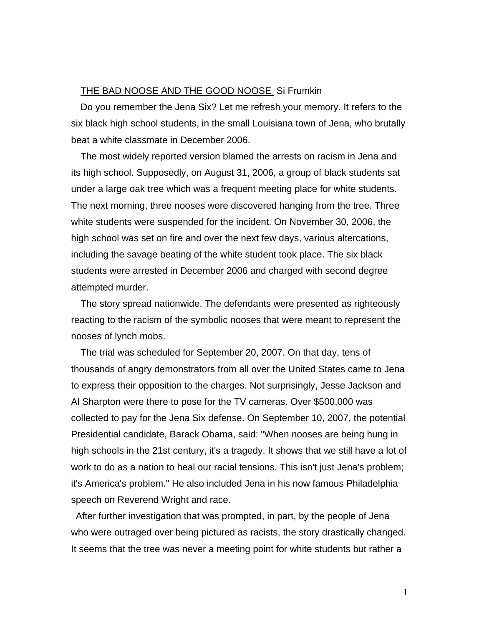## THE BAD NOOSE AND THE GOOD NOOSE Si Frumkin

Do you remember the Jena Six? Let me refresh your memory. It refers to the six black high school students, in the small Louisiana town of Jena, who brutally beat a white classmate in December 2006.

The most widely reported version blamed the arrests on racism in Jena and its high school. Supposedly, on August 31, 2006, a group of black students sat under a large oak tree which was a frequent meeting place for white students. The next morning, three nooses were discovered hanging from the tree. Three white students were suspended for the incident. On November 30, 2006, the high school was set on fire and over the next few days, various altercations, including the savage beating of the white student took place. The six black students were arrested in December 2006 and charged with second degree attempted murder.

The story spread nationwide. The defendants were presented as righteously reacting to the racism of the symbolic nooses that were meant to represent the nooses of lynch mobs.

The trial was scheduled for September 20, 2007. On that day, tens of thousands of angry demonstrators from all over the United States came to Jena to express their opposition to the charges. Not surprisingly, Jesse Jackson and Al Sharpton were there to pose for the TV cameras. Over \$500,000 was collected to pay for the Jena Six defense. On September 10, 2007, the potential Presidential candidate, Barack Obama, said: "When nooses are being hung in high schools in the 21st century, it's a tragedy. It shows that we still have a lot of work to do as a nation to heal our racial tensions. This isn't just Jena's problem; it's America's problem." He also included Jena in his now famous Philadelphia speech on Reverend Wright and race.

After further investigation that was prompted, in part, by the people of Jena who were outraged over being pictured as racists, the story drastically changed. It seems that the tree was never a meeting point for white students but rather a

1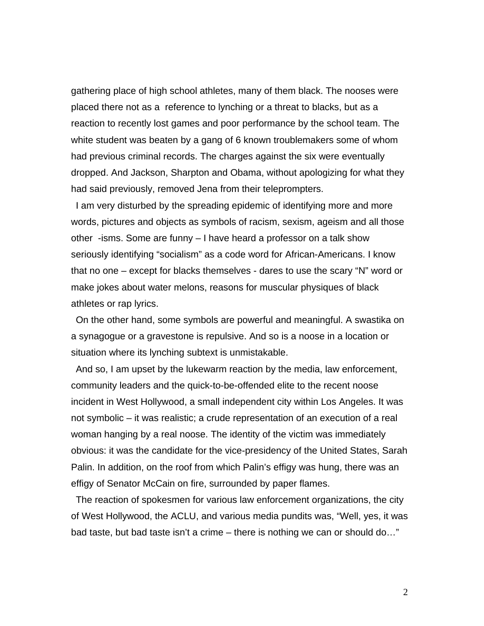gathering place of high school athletes, many of them black. The nooses were placed there not as a reference to lynching or a threat to blacks, but as a reaction to recently lost games and poor performance by the school team. The white student was beaten by a gang of 6 known troublemakers some of whom had previous criminal records. The charges against the six were eventually dropped. And Jackson, Sharpton and Obama, without apologizing for what they had said previously, removed Jena from their teleprompters.

I am very disturbed by the spreading epidemic of identifying more and more words, pictures and objects as symbols of racism, sexism, ageism and all those other -isms. Some are funny – I have heard a professor on a talk show seriously identifying "socialism" as a code word for African-Americans. I know that no one – except for blacks themselves - dares to use the scary "N" word or make jokes about water melons, reasons for muscular physiques of black athletes or rap lyrics.

On the other hand, some symbols are powerful and meaningful. A swastika on a synagogue or a gravestone is repulsive. And so is a noose in a location or situation where its lynching subtext is unmistakable.

And so, I am upset by the lukewarm reaction by the media, law enforcement, community leaders and the quick-to-be-offended elite to the recent noose incident in West Hollywood, a small independent city within Los Angeles. It was not symbolic – it was realistic; a crude representation of an execution of a real woman hanging by a real noose. The identity of the victim was immediately obvious: it was the candidate for the vice-presidency of the United States, Sarah Palin. In addition, on the roof from which Palin's effigy was hung, there was an effigy of Senator McCain on fire, surrounded by paper flames.

The reaction of spokesmen for various law enforcement organizations, the city of West Hollywood, the ACLU, and various media pundits was, "Well, yes, it was bad taste, but bad taste isn't a crime – there is nothing we can or should do…"

2